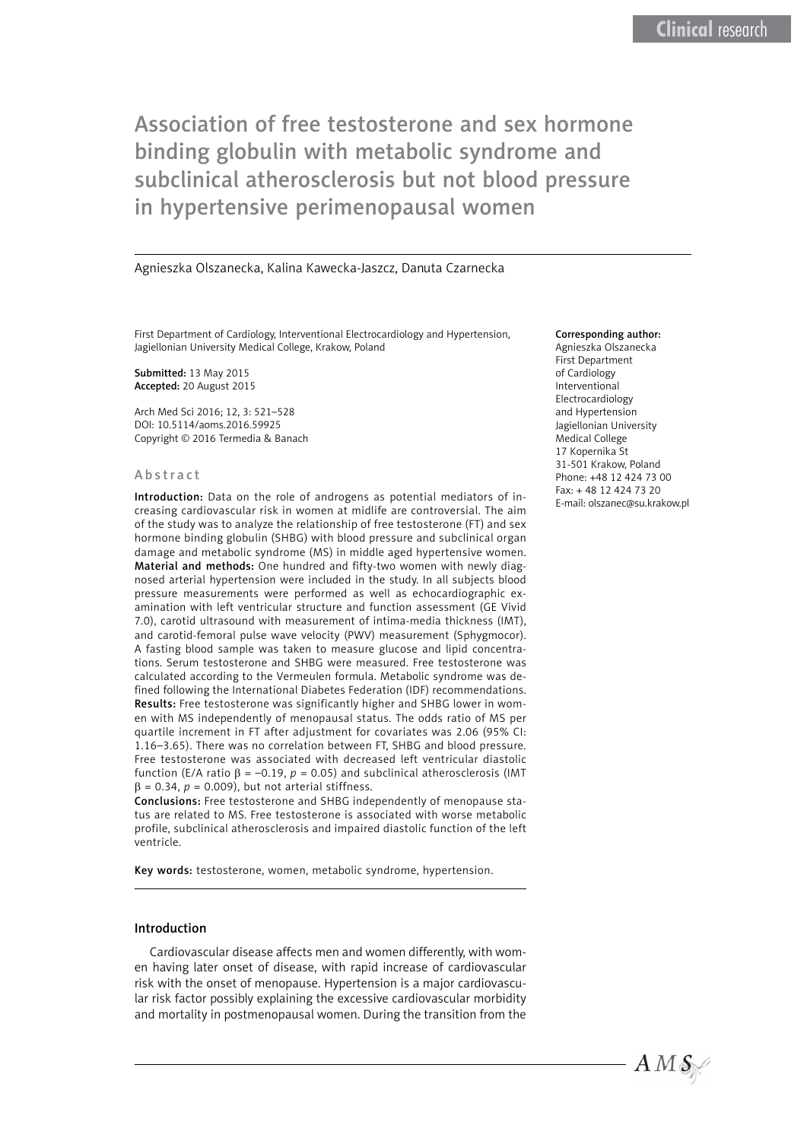# Association of free testosterone and sex hormone binding globulin with metabolic syndrome and subclinical atherosclerosis but not blood pressure in hypertensive perimenopausal women

#### Agnieszka Olszanecka, Kalina Kawecka-Jaszcz, Danuta Czarnecka

First Department of Cardiology, Interventional Electrocardiology and Hypertension, Jagiellonian University Medical College, Krakow, Poland

Submitted: 13 May 2015 Accepted: 20 August 2015

Arch Med Sci 2016; 12, 3: 521–528 DOI: 10.5114/aoms.2016.59925 Copyright © 2016 Termedia & Banach

#### Abstract

Introduction: Data on the role of androgens as potential mediators of increasing cardiovascular risk in women at midlife are controversial. The aim of the study was to analyze the relationship of free testosterone (FT) and sex hormone binding globulin (SHBG) with blood pressure and subclinical organ damage and metabolic syndrome (MS) in middle aged hypertensive women. Material and methods: One hundred and fifty-two women with newly diagnosed arterial hypertension were included in the study. In all subjects blood pressure measurements were performed as well as echocardiographic examination with left ventricular structure and function assessment (GE Vivid 7.0), carotid ultrasound with measurement of intima-media thickness (IMT), and carotid-femoral pulse wave velocity (PWV) measurement (Sphygmocor). A fasting blood sample was taken to measure glucose and lipid concentrations. Serum testosterone and SHBG were measured. Free testosterone was calculated according to the Vermeulen formula. Metabolic syndrome was defined following the International Diabetes Federation (IDF) recommendations. Results: Free testosterone was significantly higher and SHBG lower in women with MS independently of menopausal status. The odds ratio of MS per quartile increment in FT after adjustment for covariates was 2.06 (95% CI: 1.16–3.65). There was no correlation between FT, SHBG and blood pressure. Free testosterone was associated with decreased left ventricular diastolic function (E/A ratio β = -0.19,  $p = 0.05$ ) and subclinical atherosclerosis (IMT  $β = 0.34, p = 0.009$ ), but not arterial stiffness.

Conclusions: Free testosterone and SHBG independently of menopause status are related to MS. Free testosterone is associated with worse metabolic profile, subclinical atherosclerosis and impaired diastolic function of the left ventricle.

Key words: testosterone, women, metabolic syndrome, hypertension.

#### Introduction

Cardiovascular disease affects men and women differently, with women having later onset of disease, with rapid increase of cardiovascular risk with the onset of menopause. Hypertension is a major cardiovascular risk factor possibly explaining the excessive cardiovascular morbidity and mortality in postmenopausal women. During the transition from the

#### Corresponding author:

Agnieszka Olszanecka First Department of Cardiology Interventional Electrocardiology and Hypertension Jagiellonian University Medical College 17 Kopernika St 31-501 Krakow, Poland Phone: +48 12 424 73 00 Fax: + 48 12 424 73 20 E-mail: [olszanec@su.krakow.pl](mailto:olszanec@su.krakow.pl)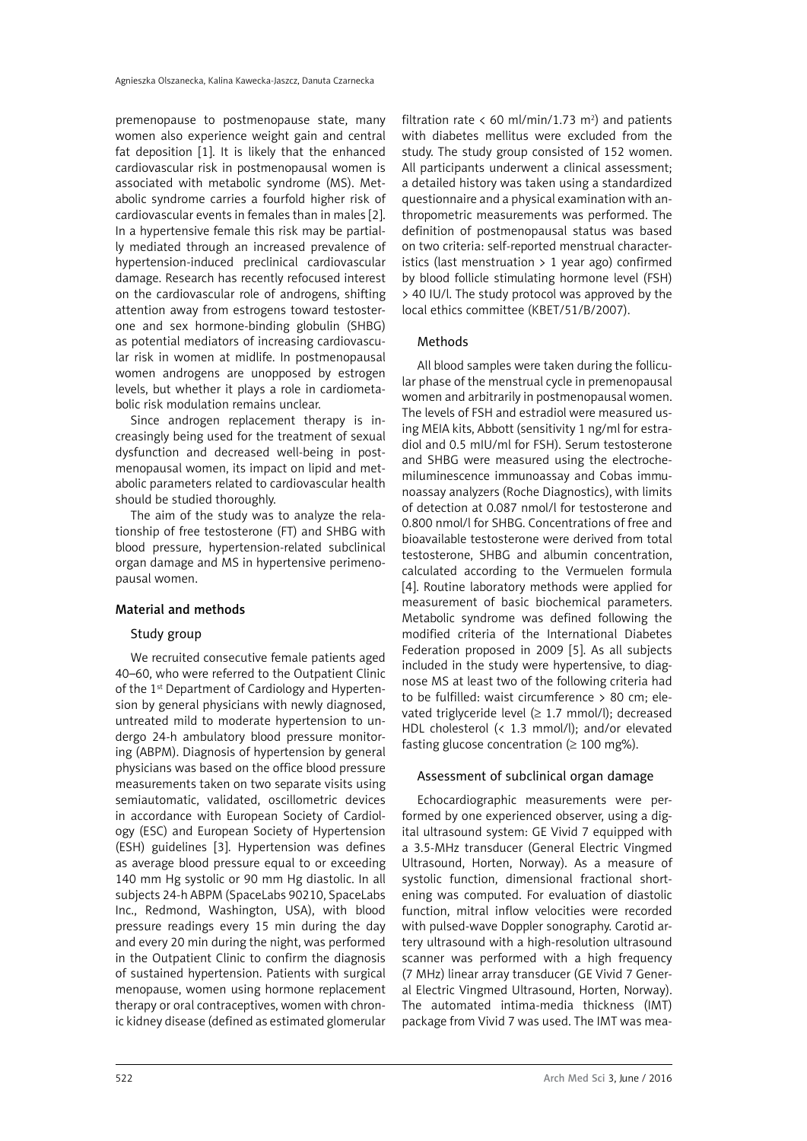premenopause to postmenopause state, many women also experience weight gain and central fat deposition [1]. It is likely that the enhanced cardiovascular risk in postmenopausal women is associated with metabolic syndrome (MS). Metabolic syndrome carries a fourfold higher risk of cardiovascular events in females than in males [2]. In a hypertensive female this risk may be partially mediated through an increased prevalence of hypertension-induced preclinical cardiovascular damage. Research has recently refocused interest on the cardiovascular role of androgens, shifting attention away from estrogens toward testosterone and sex hormone-binding globulin (SHBG) as potential mediators of increasing cardiovascular risk in women at midlife. In postmenopausal women androgens are unopposed by estrogen levels, but whether it plays a role in cardiometabolic risk modulation remains unclear.

Since androgen replacement therapy is increasingly being used for the treatment of sexual dysfunction and decreased well-being in postmenopausal women, its impact on lipid and metabolic parameters related to cardiovascular health should be studied thoroughly.

The aim of the study was to analyze the relationship of free testosterone (FT) and SHBG with blood pressure, hypertension-related subclinical organ damage and MS in hypertensive perimenopausal women.

## Material and methods

## Study group

We recruited consecutive female patients aged 40–60, who were referred to the Outpatient Clinic of the 1<sup>st</sup> Department of Cardiology and Hypertension by general physicians with newly diagnosed, untreated mild to moderate hypertension to undergo 24-h ambulatory blood pressure monitoring (ABPM). Diagnosis of hypertension by general physicians was based on the office blood pressure measurements taken on two separate visits using semiautomatic, validated, oscillometric devices in accordance with European Society of Cardiology (ESC) and European Society of Hypertension (ESH) guidelines [3]. Hypertension was defines as average blood pressure equal to or exceeding 140 mm Hg systolic or 90 mm Hg diastolic. In all subjects 24-h ABPM (SpaceLabs 90210, SpaceLabs Inc., Redmond, Washington, USA), with blood pressure readings every 15 min during the day and every 20 min during the night, was performed in the Outpatient Clinic to confirm the diagnosis of sustained hypertension. Patients with surgical menopause, women using hormone replacement therapy or oral contraceptives, women with chronic kidney disease (defined as estimated glomerular

filtration rate  $\langle 60 \text{ ml/min}/1.73 \text{ m}^2 \rangle$  and patients with diabetes mellitus were excluded from the study. The study group consisted of 152 women. All participants underwent a clinical assessment; a detailed history was taken using a standardized questionnaire and a physical examination with anthropometric measurements was performed. The definition of postmenopausal status was based on two criteria: self-reported menstrual characteristics (last menstruation  $> 1$  year ago) confirmed by blood follicle stimulating hormone level (FSH) > 40 IU/l. The study protocol was approved by the local ethics committee (KBET/51/B/2007).

## Methods

All blood samples were taken during the follicular phase of the menstrual cycle in premenopausal women and arbitrarily in postmenopausal women. The levels of FSH and estradiol were measured using MEIA kits, Abbott (sensitivity 1 ng/ml for estradiol and 0.5 mIU/ml for FSH). Serum testosterone and SHBG were measured using the electrochemiluminescence immunoassay and Cobas immunoassay analyzers (Roche Diagnostics), with limits of detection at 0.087 nmol/l for testosterone and 0.800 nmol/l for SHBG. Concentrations of free and bioavailable testosterone were derived from total testosterone, SHBG and albumin concentration, calculated according to the Vermuelen formula [4]. Routine laboratory methods were applied for measurement of basic biochemical parameters. Metabolic syndrome was defined following the modified criteria of the International Diabetes Federation proposed in 2009 [5]. As all subjects included in the study were hypertensive, to diagnose MS at least two of the following criteria had to be fulfilled: waist circumference > 80 cm; elevated triglyceride level ( $\geq$  1.7 mmol/l); decreased HDL cholesterol (< 1.3 mmol/l); and/or elevated fasting glucose concentration ( $\geq 100$  mg%).

## Assessment of subclinical organ damage

Echocardiographic measurements were performed by one experienced observer, using a digital ultrasound system: GE Vivid 7 equipped with a 3.5-MHz transducer (General Electric Vingmed Ultrasound, Horten, Norway). As a measure of systolic function, dimensional fractional shortening was computed. For evaluation of diastolic function, mitral inflow velocities were recorded with pulsed-wave Doppler sonography. Carotid artery ultrasound with a high-resolution ultrasound scanner was performed with a high frequency (7 MHz) linear array transducer (GE Vivid 7 General Electric Vingmed Ultrasound, Horten, Norway). The automated intima-media thickness (IMT) package from Vivid 7 was used. The IMT was mea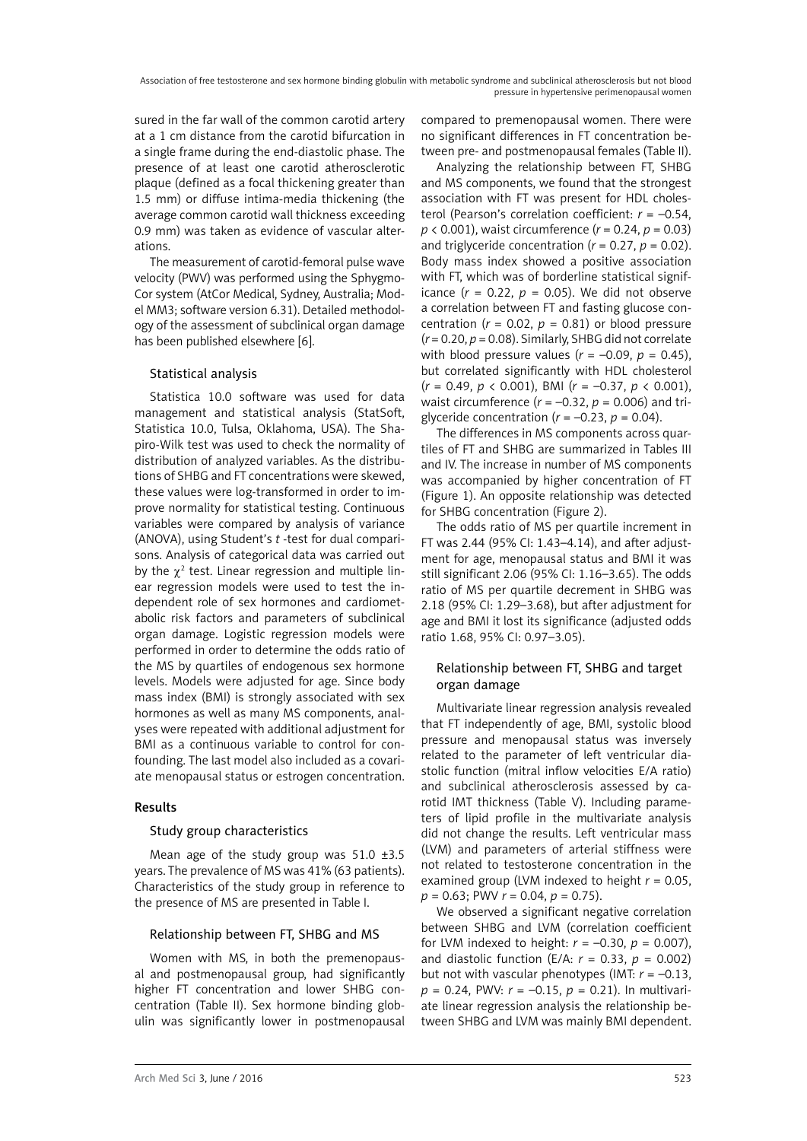sured in the far wall of the common carotid artery at a 1 cm distance from the carotid bifurcation in a single frame during the end-diastolic phase. The presence of at least one carotid atherosclerotic plaque (defined as a focal thickening greater than 1.5 mm) or diffuse intima-media thickening (the average common carotid wall thickness exceeding 0.9 mm) was taken as evidence of vascular alterations.

The measurement of carotid-femoral pulse wave velocity (PWV) was performed using the Sphygmo-Cor system (AtCor Medical, Sydney, Australia; Model MM3; software version 6.31). Detailed methodology of the assessment of subclinical organ damage has been published elsewhere [6].

# Statistical analysis

Statistica 10.0 software was used for data management and statistical analysis (StatSoft, Statistica 10.0, Tulsa, Oklahoma, USA). The Shapiro-Wilk test was used to check the normality of distribution of analyzed variables. As the distributions of SHBG and FT concentrations were skewed, these values were log-transformed in order to improve normality for statistical testing. Continuous variables were compared by analysis of variance (ANOVA), using Student's *t* -test for dual comparisons. Analysis of categorical data was carried out by the  $\chi^2$  test. Linear regression and multiple linear regression models were used to test the independent role of sex hormones and cardiometabolic risk factors and parameters of subclinical organ damage. Logistic regression models were performed in order to determine the odds ratio of the MS by quartiles of endogenous sex hormone levels. Models were adjusted for age. Since body mass index (BMI) is strongly associated with sex hormones as well as many MS components, analyses were repeated with additional adjustment for BMI as a continuous variable to control for confounding. The last model also included as a covariate menopausal status or estrogen concentration.

# Results

# Study group characteristics

Mean age of the study group was  $51.0 \pm 3.5$ years. The prevalence of MS was 41% (63 patients). Characteristics of the study group in reference to the presence of MS are presented in Table I.

# Relationship between FT, SHBG and MS

Women with MS, in both the premenopausal and postmenopausal group, had significantly higher FT concentration and lower SHBG concentration (Table II). Sex hormone binding globulin was significantly lower in postmenopausal compared to premenopausal women. There were no significant differences in FT concentration between pre- and postmenopausal females (Table II).

Analyzing the relationship between FT, SHBG and MS components, we found that the strongest association with FT was present for HDL cholesterol (Pearson's correlation coefficient: *r* = –0.54, *p* < 0.001), waist circumference (*r* = 0.24, *p* = 0.03) and triglyceride concentration  $(r = 0.27, p = 0.02)$ . Body mass index showed a positive association with FT, which was of borderline statistical significance  $(r = 0.22, p = 0.05)$ . We did not observe a correlation between FT and fasting glucose concentration ( $r = 0.02$ ,  $p = 0.81$ ) or blood pressure  $(r = 0.20, p = 0.08)$ . Similarly, SHBG did not correlate with blood pressure values  $(r = -0.09, p = 0.45)$ , but correlated significantly with HDL cholesterol (*r* = 0.49, *p* < 0.001), BMI (*r* = –0.37, *p* < 0.001), waist circumference  $(r = -0.32, p = 0.006)$  and triglyceride concentration ( $r = -0.23$ ,  $p = 0.04$ ).

The differences in MS components across quartiles of FT and SHBG are summarized in Tables III and IV. The increase in number of MS components was accompanied by higher concentration of FT (Figure 1). An opposite relationship was detected for SHBG concentration (Figure 2).

The odds ratio of MS per quartile increment in FT was 2.44 (95% CI: 1.43–4.14), and after adjustment for age, menopausal status and BMI it was still significant 2.06 (95% CI: 1.16–3.65). The odds ratio of MS per quartile decrement in SHBG was 2.18 (95% CI: 1.29–3.68), but after adjustment for age and BMI it lost its significance (adjusted odds ratio 1.68, 95% CI: 0.97–3.05).

# Relationship between FT, SHBG and target organ damage

Multivariate linear regression analysis revealed that FT independently of age, BMI, systolic blood pressure and menopausal status was inversely related to the parameter of left ventricular diastolic function (mitral inflow velocities E/A ratio) and subclinical atherosclerosis assessed by carotid IMT thickness (Table V). Including parameters of lipid profile in the multivariate analysis did not change the results. Left ventricular mass (LVM) and parameters of arterial stiffness were not related to testosterone concentration in the examined group (LVM indexed to height *r* = 0.05, *p* = 0.63; PWV *r* = 0.04, *p* = 0.75).

We observed a significant negative correlation between SHBG and LVM (correlation coefficient for LVM indexed to height:  $r = -0.30$ ,  $p = 0.007$ ). and diastolic function (E/A:  $r = 0.33$ ,  $p = 0.002$ ) but not with vascular phenotypes (IMT: *r* = –0.13, *p* = 0.24, PWV: *r* = –0.15, *p* = 0.21). In multivariate linear regression analysis the relationship between SHBG and LVM was mainly BMI dependent.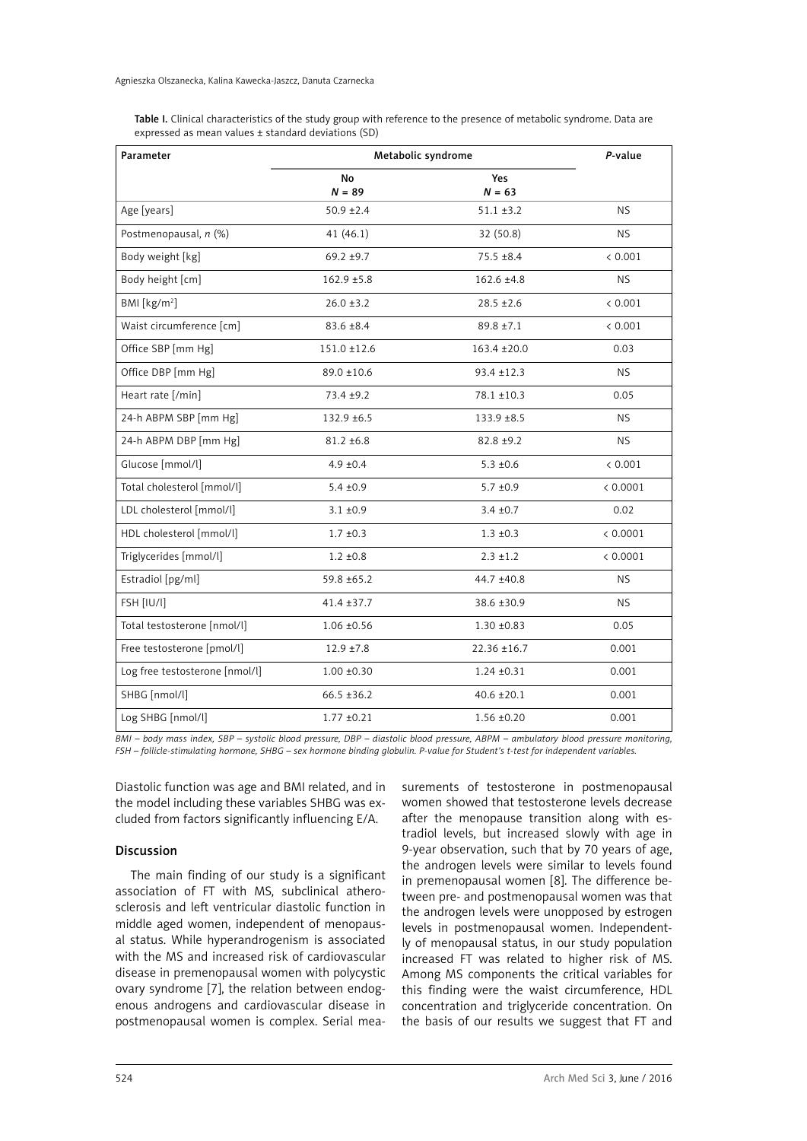| Parameter                      | Metabolic syndrome                              |                 |           |
|--------------------------------|-------------------------------------------------|-----------------|-----------|
|                                | <b>No</b><br><b>Yes</b><br>$N = 89$<br>$N = 63$ |                 |           |
| Age [years]                    | $50.9 \pm 2.4$                                  | $51.1 \pm 3.2$  | <b>NS</b> |
| Postmenopausal, n (%)          | 41(46.1)                                        | 32 (50.8)       | NS.       |
| Body weight [kg]               | $69.2 + 9.7$                                    | 75.5 ±8.4       | < 0.001   |
| Body height [cm]               | $162.9 \pm 5.8$                                 | 162.6 ±4.8      | <b>NS</b> |
| BMI [kg/m <sup>2</sup> ]       | $26.0 \pm 3.2$                                  | $28.5 \pm 2.6$  | < 0.001   |
| Waist circumference [cm]       | $83.6 \pm 8.4$                                  | $89.8 + 7.1$    | < 0.001   |
| Office SBP [mm Hg]             | 151.0 ±12.6                                     | 163.4 ±20.0     | 0.03      |
| Office DBP [mm Hg]             | 89.0 ±10.6                                      | $93.4 \pm 12.3$ | <b>NS</b> |
| Heart rate [/min]              | $73.4 + 9.2$                                    | $78.1 \pm 10.3$ | 0.05      |
| 24-h ABPM SBP [mm Hg]          | 132.9 ±6.5                                      | $133.9 + 8.5$   | <b>NS</b> |
| 24-h ABPM DBP [mm Hg]          | $81.2 \pm 6.8$                                  | $82.8 + 9.2$    | <b>NS</b> |
| Glucose [mmol/l]               | $4.9 \pm 0.4$                                   | $5.3 \pm 0.6$   | < 0.001   |
| Total cholesterol [mmol/l]     | $5.4 \pm 0.9$                                   | $5.7 \pm 0.9$   | < 0.0001  |
| LDL cholesterol [mmol/l]       | $3.1 \pm 0.9$                                   | $3.4 \pm 0.7$   | 0.02      |
| HDL cholesterol [mmol/l]       | $1.7 \pm 0.3$                                   | $1.3 \pm 0.3$   | < 0.0001  |
| Triglycerides [mmol/l]         | $1.2 \pm 0.8$                                   | $2.3 \pm 1.2$   | < 0.0001  |
| Estradiol [pg/ml]              | 59.8 ±65.2                                      | 44.7 ±40.8      | <b>NS</b> |
| <b>FSH [IU/l]</b>              | $41.4 \pm 37.7$                                 | 38.6 ±30.9      | <b>NS</b> |
| Total testosterone [nmol/l]    | $1.06 \pm 0.56$                                 | $1.30 \pm 0.83$ | 0.05      |
| Free testosterone [pmol/l]     | $12.9 \pm 7.8$                                  | 22.36 ±16.7     | 0.001     |
| Log free testosterone [nmol/l] | $1.00 \pm 0.30$                                 | $1.24 \pm 0.31$ | 0.001     |
| SHBG [nmol/l]                  | $66.5 \pm 36.2$                                 | $40.6 \pm 20.1$ | 0.001     |
| Log SHBG [nmol/l]              | $1.77 + 0.21$                                   | $1.56 \pm 0.20$ | 0.001     |

Table I. Clinical characteristics of the study group with reference to the presence of metabolic syndrome. Data are expressed as mean values ± standard deviations (SD)

*BMI – body mass index, SBP – systolic blood pressure, DBP – diastolic blood pressure, ABPM – ambulatory blood pressure monitoring, FSH – follicle-stimulating hormone, SHBG – sex hormone binding globulin. P-value for Student's t-test for independent variables.*

Diastolic function was age and BMI related, and in the model including these variables SHBG was excluded from factors significantly influencing E/A.

## Discussion

The main finding of our study is a significant association of FT with MS, subclinical atherosclerosis and left ventricular diastolic function in middle aged women, independent of menopausal status. While hyperandrogenism is associated with the MS and increased risk of cardiovascular disease in premenopausal women with polycystic ovary syndrome [7], the relation between endogenous androgens and cardiovascular disease in postmenopausal women is complex. Serial measurements of testosterone in postmenopausal women showed that testosterone levels decrease after the menopause transition along with estradiol levels, but increased slowly with age in 9-year observation, such that by 70 years of age, the androgen levels were similar to levels found in premenopausal women [8]. The difference between pre- and postmenopausal women was that the androgen levels were unopposed by estrogen levels in postmenopausal women. Independently of menopausal status, in our study population increased FT was related to higher risk of MS. Among MS components the critical variables for this finding were the waist circumference, HDL concentration and triglyceride concentration. On the basis of our results we suggest that FT and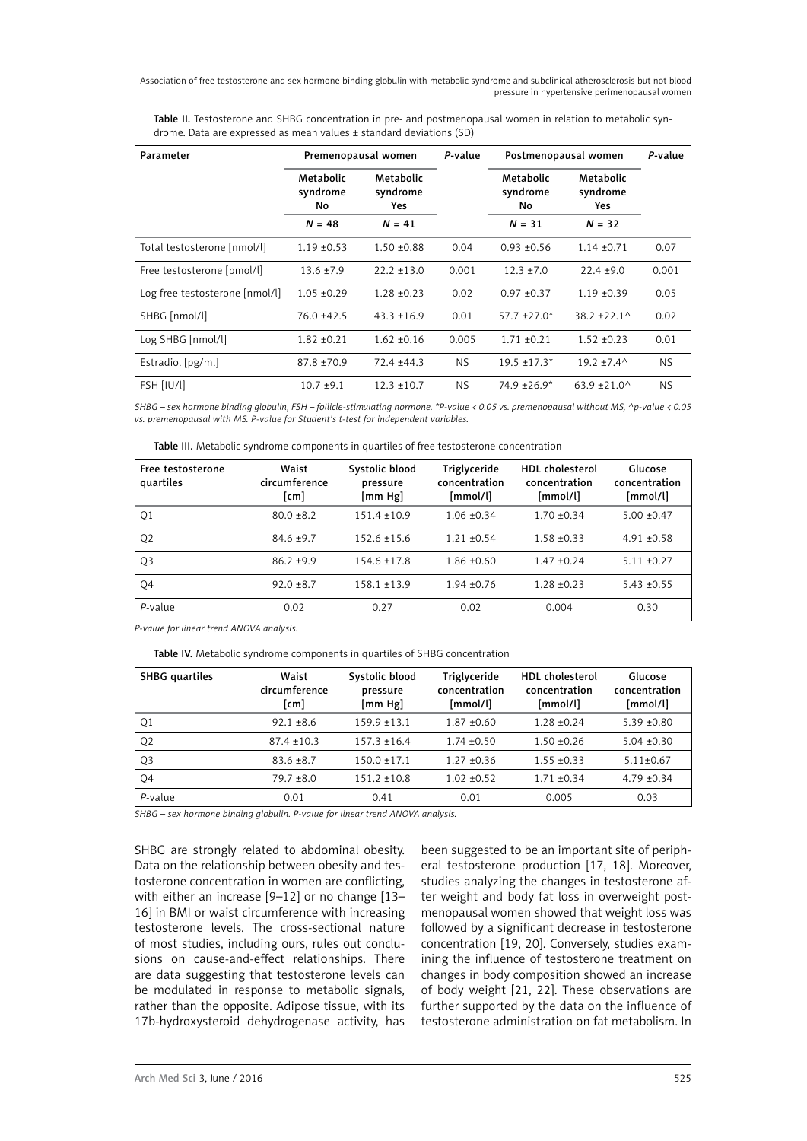Association of free testosterone and sex hormone binding globulin with metabolic syndrome and subclinical atherosclerosis but not blood pressure in hypertensive perimenopausal women

| Table II. Testosterone and SHBG concentration in pre- and postmenopausal women in relation to metabolic syn- |  |  |  |
|--------------------------------------------------------------------------------------------------------------|--|--|--|
| drome. Data are expressed as mean values $\pm$ standard deviations (SD)                                      |  |  |  |

| Parameter                      |                             | Premenopausal women          | P-value   | Postmenopausal women        |                              | P-value   |
|--------------------------------|-----------------------------|------------------------------|-----------|-----------------------------|------------------------------|-----------|
|                                | Metabolic<br>syndrome<br>No | Metabolic<br>syndrome<br>Yes |           | Metabolic<br>syndrome<br>No | Metabolic<br>syndrome<br>Yes |           |
|                                | $N = 48$                    | $N = 41$                     |           | $N = 31$                    | $N = 32$                     |           |
| Total testosterone [nmol/l]    | $1.19 \pm 0.53$             | $1.50 + 0.88$                | 0.04      | $0.93 + 0.56$               | $1.14 \pm 0.71$              | 0.07      |
| Free testosterone [pmol/l]     | $13.6 \pm 7.9$              | $22.2 \pm 13.0$              | 0.001     | $12.3 \pm 7.0$              | $22.4 + 9.0$                 | 0.001     |
| Log free testosterone [nmol/l] | $1.05 + 0.29$               | $1.28 \pm 0.23$              | 0.02      | $0.97 + 0.37$               | $1.19 \pm 0.39$              | 0.05      |
| SHBG [nmol/l]                  | $76.0 \pm 42.5$             | $43.3 \pm 16.9$              | 0.01      | $57.7 + 27.0*$              | $38.2 + 22.1^{\circ}$        | 0.02      |
| Log SHBG [nmol/l]              | $1.82 + 0.21$               | $1.62 + 0.16$                | 0.005     | $1.71 \pm 0.21$             | $1.52 \pm 0.23$              | 0.01      |
| Estradiol [pg/ml]              | $87.8 \pm 70.9$             | 72.4 ±44.3                   | <b>NS</b> | $19.5 \pm 17.3*$            | $19.2 \pm 7.4^{\circ}$       | <b>NS</b> |
| FSH [IU/l]                     | $10.7 + 9.1$                | $12.3 \pm 10.7$              | <b>NS</b> | $74.9 \pm 26.9*$            | 63.9 ± 21.0 $^{\circ}$       | <b>NS</b> |

*SHBG – sex hormone binding globulin, FSH – follicle-stimulating hormone. \*P-value < 0.05 vs. premenopausal without MS, ^p-value < 0.05 vs. premenopausal with MS. P-value for Student's t-test for independent variables.*

Table III. Metabolic syndrome components in quartiles of free testosterone concentration

| Free testosterone<br>quartiles | Waist<br>circumference<br>$\lceil$ cm $\rceil$ | Systolic blood<br>pressure<br>[mm Hg] | Triglyceride<br>concentration<br>[mmol/l] | <b>HDL</b> cholesterol<br>concentration<br>[mmol/l] | Glucose<br>concentration<br>[mmol/l] |
|--------------------------------|------------------------------------------------|---------------------------------------|-------------------------------------------|-----------------------------------------------------|--------------------------------------|
| Q <sub>1</sub>                 | $80.0 \pm 8.2$                                 | $151.4 \pm 10.9$                      | $1.06 \pm 0.34$                           | $1.70 \pm 0.34$                                     | $5.00 \pm 0.47$                      |
| O <sub>2</sub>                 | $84.6 \pm 9.7$                                 | $152.6 \pm 15.6$                      | $1.21 \pm 0.54$                           | $1.58 + 0.33$                                       | $4.91 \pm 0.58$                      |
| Q3                             | $86.2 + 9.9$                                   | $154.6 \pm 17.8$                      | $1.86 + 0.60$                             | $1.47 + 0.24$                                       | $5.11 \pm 0.27$                      |
| O <sub>4</sub>                 | $92.0 \pm 8.7$                                 | $158.1 \pm 13.9$                      | $1.94 + 0.76$                             | $1.28 + 0.23$                                       | $5.43 \pm 0.55$                      |
| $P$ -value                     | 0.02                                           | 0.27                                  | 0.02                                      | 0.004                                               | 0.30                                 |

*P-value for linear trend ANOVA analysis.* 

Table IV. Metabolic syndrome components in quartiles of SHBG concentration

| <b>SHBG</b> quartiles | Waist<br>circumference<br>[cm] | Systolic blood<br>pressure<br>[mm Hg] | Triglyceride<br>concentration<br>[mmol/l] | <b>HDL</b> cholesterol<br>concentration<br>[mmol/l] | Glucose<br>concentration<br>[mmol/l] |
|-----------------------|--------------------------------|---------------------------------------|-------------------------------------------|-----------------------------------------------------|--------------------------------------|
| Q <sub>1</sub>        | $92.1 \pm 8.6$                 | $159.9 \pm 13.1$                      | $1.87 + 0.60$                             | $1.28 + 0.24$                                       | $5.39 + 0.80$                        |
| Q <sub>2</sub>        | $87.4 \pm 10.3$                | $157.3 \pm 16.4$                      | $1.74 \pm 0.50$                           | $1.50 + 0.26$                                       | $5.04 \pm 0.30$                      |
| Q3                    | $83.6 + 8.7$                   | $150.0 \pm 17.1$                      | $1.27 + 0.36$                             | $1.55 + 0.33$                                       | $5.11 \pm 0.67$                      |
| O <sub>4</sub>        | $79.7 \pm 8.0$                 | $151.2 \pm 10.8$                      | $1.02 + 0.52$                             | $1.71 \pm 0.34$                                     | $4.79 \pm 0.34$                      |
| $P$ -value            | 0.01                           | 0.41                                  | 0.01                                      | 0.005                                               | 0.03                                 |

*SHBG – sex hormone binding globulin. P-value for linear trend ANOVA analysis.* 

SHBG are strongly related to abdominal obesity. Data on the relationship between obesity and testosterone concentration in women are conflicting, with either an increase [9–12] or no change [13– 16] in BMI or waist circumference with increasing testosterone levels. The cross-sectional nature of most studies, including ours, rules out conclusions on cause-and-effect relationships. There are data suggesting that testosterone levels can be modulated in response to metabolic signals, rather than the opposite. Adipose tissue, with its 17b-hydroxysteroid dehydrogenase activity, has

been suggested to be an important site of peripheral testosterone production [17, 18]. Moreover, studies analyzing the changes in testosterone after weight and body fat loss in overweight postmenopausal women showed that weight loss was followed by a significant decrease in testosterone concentration [19, 20]. Conversely, studies examining the influence of testosterone treatment on changes in body composition showed an increase of body weight [21, 22]. These observations are further supported by the data on the influence of testosterone administration on fat metabolism. In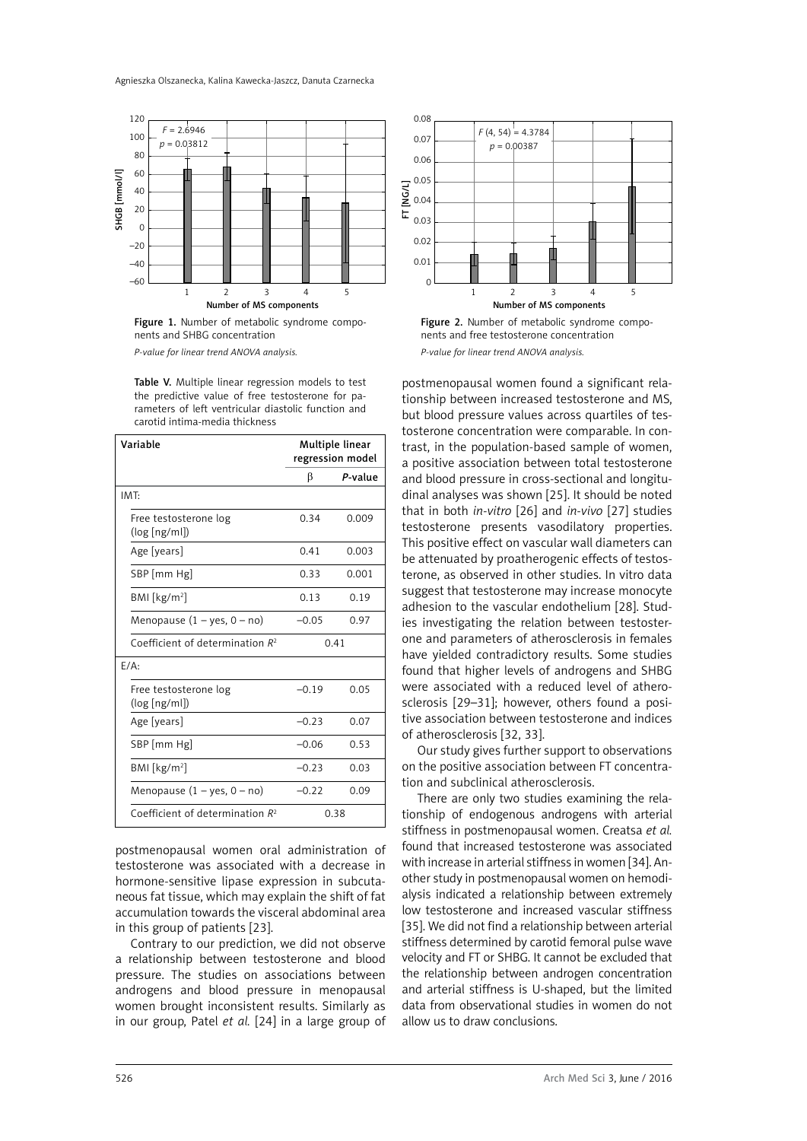



Table V. Multiple linear regression models to test the predictive value of free testosterone for parameters of left ventricular diastolic function and carotid intima-media thickness

| Variable                               | Multiple linear<br>regression model |         |  |
|----------------------------------------|-------------------------------------|---------|--|
|                                        | β                                   | P-value |  |
| IMT:                                   |                                     |         |  |
| Free testosterone log<br>(log [ng/ml]) | 0.34                                | 0.009   |  |
| Age [years]                            | 0.41                                | 0.003   |  |
| SBP [mm Hg]                            | 0.33                                | 0.001   |  |
| BMI [ $kg/m2$ ]                        | 0.13                                | 0.19    |  |
| Menopause (1 – yes, 0 – no)            | $-0.05$                             | 0.97    |  |
| Coefficient of determination $R^2$     |                                     | 0.41    |  |
| $E/A$ :                                |                                     |         |  |
| Free testosterone log<br>(log [ng/ml]) | $-0.19$                             | 0.05    |  |
| Age [years]                            | $-0.23$                             | 0.07    |  |
| SBP [mm Hg]                            | $-0.06$                             | 0.53    |  |
| BMI [ $kg/m2$ ]                        | $-0.23$                             | 0.03    |  |
| Menopause (1 – yes, 0 – no)            | $-0.22$                             | 0.09    |  |
| Coefficient of determination $R^2$     | 0.38                                |         |  |

postmenopausal women oral administration of testosterone was associated with a decrease in hormone-sensitive lipase expression in subcutaneous fat tissue, which may explain the shift of fat accumulation towards the visceral abdominal area in this group of patients [23].

Contrary to our prediction, we did not observe a relationship between testosterone and blood pressure. The studies on associations between androgens and blood pressure in menopausal women brought inconsistent results. Similarly as in our group, Patel *et al.* [24] in a large group of





postmenopausal women found a significant relationship between increased testosterone and MS, but blood pressure values across quartiles of testosterone concentration were comparable. In contrast, in the population-based sample of women, a positive association between total testosterone and blood pressure in cross-sectional and longitudinal analyses was shown [25]. It should be noted that in both *in-vitro* [26] and *in-vivo* [27] studies testosterone presents vasodilatory properties. This positive effect on vascular wall diameters can be attenuated by proatherogenic effects of testosterone, as observed in other studies. In vitro data suggest that testosterone may increase monocyte adhesion to the vascular endothelium [28]. Studies investigating the relation between testosterone and parameters of atherosclerosis in females have yielded contradictory results. Some studies found that higher levels of androgens and SHBG were associated with a reduced level of atherosclerosis [29–31]; however, others found a positive association between testosterone and indices of atherosclerosis [32, 33].

Our study gives further support to observations on the positive association between FT concentration and subclinical atherosclerosis.

There are only two studies examining the relationship of endogenous androgens with arterial stiffness in postmenopausal women. Creatsa *et al.* found that increased testosterone was associated with increase in arterial stiffness in women [34]. Another study in postmenopausal women on hemodialysis indicated a relationship between extremely low testosterone and increased vascular stiffness [35]. We did not find a relationship between arterial stiffness determined by carotid femoral pulse wave velocity and FT or SHBG. It cannot be excluded that the relationship between androgen concentration and arterial stiffness is U-shaped, but the limited data from observational studies in women do not allow us to draw conclusions.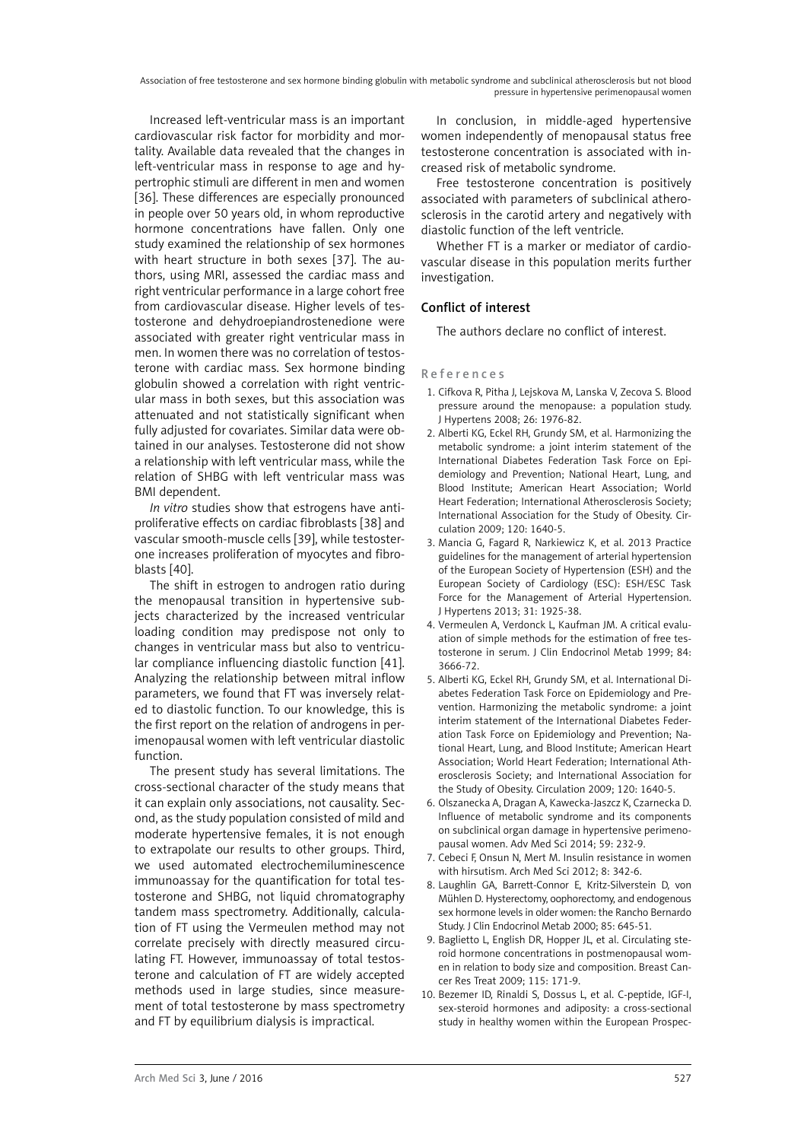Association of free testosterone and sex hormone binding globulin with metabolic syndrome and subclinical atherosclerosis but not blood pressure in hypertensive perimenopausal women

Increased left-ventricular mass is an important cardiovascular risk factor for morbidity and mortality. Available data revealed that the changes in left-ventricular mass in response to age and hypertrophic stimuli are different in men and women [36]. These differences are especially pronounced in people over 50 years old, in whom reproductive hormone concentrations have fallen. Only one study examined the relationship of sex hormones with heart structure in both sexes [37]. The authors, using MRI, assessed the cardiac mass and right ventricular performance in a large cohort free from cardiovascular disease. Higher levels of testosterone and dehydroepiandrostenedione were associated with greater right ventricular mass in men. In women there was no correlation of testosterone with cardiac mass. Sex hormone binding globulin showed a correlation with right ventricular mass in both sexes, but this association was attenuated and not statistically significant when fully adjusted for covariates. Similar data were obtained in our analyses. Testosterone did not show a relationship with left ventricular mass, while the relation of SHBG with left ventricular mass was BMI dependent.

*In vitro* studies show that estrogens have antiproliferative effects on cardiac fibroblasts [38] and vascular smooth-muscle cells [39], while testosterone increases proliferation of myocytes and fibroblasts [40].

The shift in estrogen to androgen ratio during the menopausal transition in hypertensive subjects characterized by the increased ventricular loading condition may predispose not only to changes in ventricular mass but also to ventricular compliance influencing diastolic function [41]. Analyzing the relationship between mitral inflow parameters, we found that FT was inversely related to diastolic function. To our knowledge, this is the first report on the relation of androgens in perimenopausal women with left ventricular diastolic function.

The present study has several limitations. The cross-sectional character of the study means that it can explain only associations, not causality. Second, as the study population consisted of mild and moderate hypertensive females, it is not enough to extrapolate our results to other groups. Third, we used automated electrochemiluminescence immunoassay for the quantification for total testosterone and SHBG, not liquid chromatography tandem mass spectrometry. Additionally, calculation of FT using the Vermeulen method may not correlate precisely with directly measured circulating FT. However, immunoassay of total testosterone and calculation of FT are widely accepted methods used in large studies, since measurement of total testosterone by mass spectrometry and FT by equilibrium dialysis is impractical.

In conclusion, in middle-aged hypertensive women independently of menopausal status free testosterone concentration is associated with increased risk of metabolic syndrome.

Free testosterone concentration is positively associated with parameters of subclinical atherosclerosis in the carotid artery and negatively with diastolic function of the left ventricle.

Whether FT is a marker or mediator of cardiovascular disease in this population merits further investigation.

# Conflict of interest

The authors declare no conflict of interest.

References

- 1. Cifkova R, Pitha J, Lejskova M, Lanska V, Zecova S. Blood pressure around the menopause: a population study. J Hypertens 2008; 26: 1976-82.
- 2. Alberti KG, Eckel RH, Grundy SM, et al. Harmonizing the metabolic syndrome: a joint interim statement of the International Diabetes Federation Task Force on Epidemiology and Prevention; National Heart, Lung, and Blood Institute; American Heart Association; World Heart Federation; International Atherosclerosis Society; International Association for the Study of Obesity. Circulation 2009; 120: 1640-5.
- 3. Mancia G, Fagard R, Narkiewicz K, et al. 2013 Practice guidelines for the management of arterial hypertension of the European Society of Hypertension (ESH) and the European Society of Cardiology (ESC): ESH/ESC Task Force for the Management of Arterial Hypertension. J Hypertens 2013; 31: 1925-38.
- 4. Vermeulen A, Verdonck L, Kaufman JM. A critical evaluation of simple methods for the estimation of free testosterone in serum. J Clin Endocrinol Metab 1999; 84: 3666-72.
- 5. Alberti KG, Eckel RH, Grundy SM, et al. International Diabetes Federation Task Force on Epidemiology and Prevention. Harmonizing the metabolic syndrome: a joint interim statement of the International Diabetes Federation Task Force on Epidemiology and Prevention; National Heart, Lung, and Blood Institute; American Heart Association; World Heart Federation; International Atherosclerosis Society; and International Association for the Study of Obesity. Circulation 2009; 120: 1640-5.
- 6. Olszanecka A, Dragan A, Kawecka-Jaszcz K, Czarnecka D. Influence of metabolic syndrome and its components on subclinical organ damage in hypertensive perimenopausal women. Adv Med Sci 2014; 59: 232-9.
- 7. Cebeci F, Onsun N, Mert M. Insulin resistance in women with hirsutism. Arch Med Sci 2012; 8: 342-6.
- 8. Laughlin GA, Barrett-Connor E, Kritz-Silverstein D, von Mühlen D. Hysterectomy, oophorectomy, and endogenous sex hormone levels in older women: the Rancho Bernardo Study. J Clin Endocrinol Metab 2000; 85: 645-51.
- 9. Baglietto L, English DR, Hopper JL, et al. Circulating steroid hormone concentrations in postmenopausal women in relation to body size and composition. Breast Cancer Res Treat 2009; 115: 171-9.
- 10. Bezemer ID, Rinaldi S, Dossus L, et al. C-peptide, IGF-I, sex-steroid hormones and adiposity: a cross-sectional study in healthy women within the European Prospec-